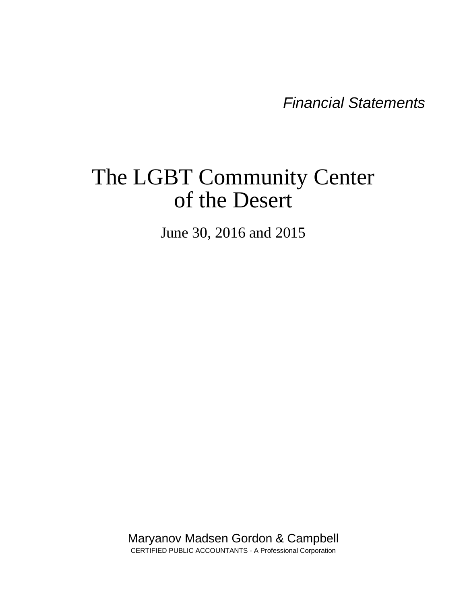*Financial Statements* 

# The LGBT Community Center of the Desert

June 30, 2016 and 2015

Maryanov Madsen Gordon & Campbell CERTIFIED PUBLIC ACCOUNTANTS - A Professional Corporation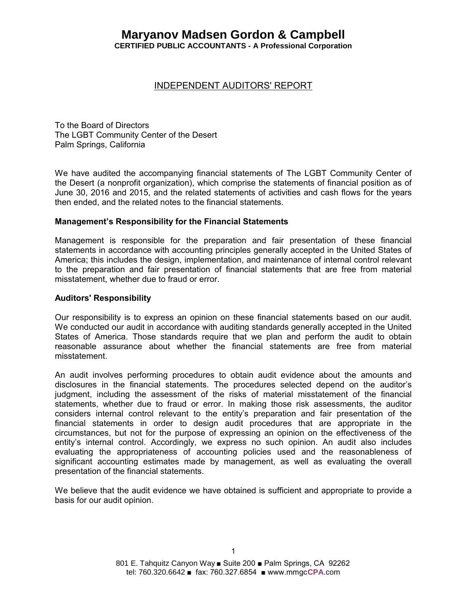# **Maryanov Madsen Gordon & Campbell CERTIFIED PUBLIC ACCOUNTANTS - A Professional Corporation**

# INDEPENDENT AUDITORS' REPORT

To the Board of Directors The LGBT Community Center of the Desert Palm Springs, California

We have audited the accompanying financial statements of The LGBT Community Center of the Desert (a nonprofit organization), which comprise the statements of financial position as of June 30, 2016 and 2015, and the related statements of activities and cash flows for the years then ended, and the related notes to the financial statements.

#### **Management's Responsibility for the Financial Statements**

Management is responsible for the preparation and fair presentation of these financial statements in accordance with accounting principles generally accepted in the United States of America; this includes the design, implementation, and maintenance of internal control relevant to the preparation and fair presentation of financial statements that are free from material misstatement, whether due to fraud or error.

#### **Auditors' Responsibility**

Our responsibility is to express an opinion on these financial statements based on our audit. We conducted our audit in accordance with auditing standards generally accepted in the United States of America. Those standards require that we plan and perform the audit to obtain reasonable assurance about whether the financial statements are free from material misstatement.

An audit involves performing procedures to obtain audit evidence about the amounts and disclosures in the financial statements. The procedures selected depend on the auditor's judgment, including the assessment of the risks of material misstatement of the financial statements, whether due to fraud or error. In making those risk assessments, the auditor considers internal control relevant to the entity's preparation and fair presentation of the financial statements in order to design audit procedures that are appropriate in the circumstances, but not for the purpose of expressing an opinion on the effectiveness of the entity's internal control. Accordingly, we express no such opinion. An audit also includes evaluating the appropriateness of accounting policies used and the reasonableness of significant accounting estimates made by management, as well as evaluating the overall presentation of the financial statements.

We believe that the audit evidence we have obtained is sufficient and appropriate to provide a basis for our audit opinion.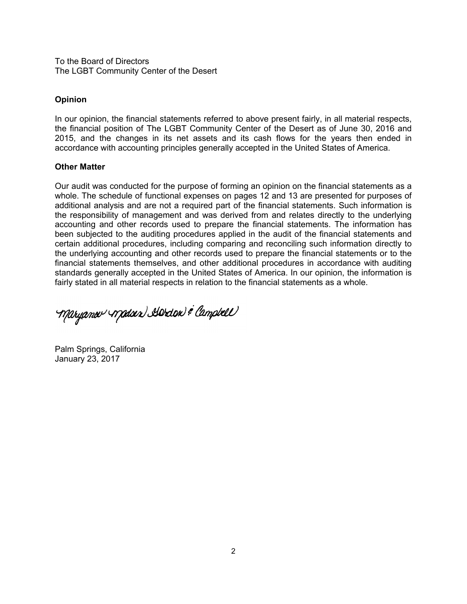To the Board of Directors The LGBT Community Center of the Desert

#### **Opinion**

In our opinion, the financial statements referred to above present fairly, in all material respects, the financial position of The LGBT Community Center of the Desert as of June 30, 2016 and 2015, and the changes in its net assets and its cash flows for the years then ended in accordance with accounting principles generally accepted in the United States of America.

#### **Other Matter**

Our audit was conducted for the purpose of forming an opinion on the financial statements as a whole. The schedule of functional expenses on pages 12 and 13 are presented for purposes of additional analysis and are not a required part of the financial statements. Such information is the responsibility of management and was derived from and relates directly to the underlying accounting and other records used to prepare the financial statements. The information has been subjected to the auditing procedures applied in the audit of the financial statements and certain additional procedures, including comparing and reconciling such information directly to the underlying accounting and other records used to prepare the financial statements or to the financial statements themselves, and other additional procedures in accordance with auditing standards generally accepted in the United States of America. In our opinion, the information is fairly stated in all material respects in relation to the financial statements as a whole.

Maryanov Madoir) Adrian & Campbell

Palm Springs, California January 23, 2017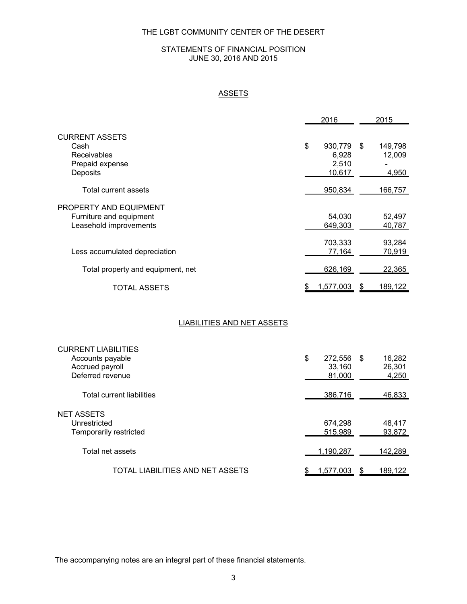#### STATEMENTS OF FINANCIAL POSITION JUNE 30, 2016 AND 2015

# **ASSETS**

|                                                   | 2016           |    |         |  |
|---------------------------------------------------|----------------|----|---------|--|
| <b>CURRENT ASSETS</b>                             |                |    |         |  |
| Cash                                              | \$<br>930,779  | \$ | 149,798 |  |
| <b>Receivables</b>                                | 6,928          |    | 12,009  |  |
| Prepaid expense                                   | 2,510          |    |         |  |
| Deposits                                          | 10,617         |    | 4,950   |  |
| Total current assets                              | 950,834        |    | 166,757 |  |
|                                                   |                |    |         |  |
| PROPERTY AND EQUIPMENT<br>Furniture and equipment | 54,030         |    | 52,497  |  |
| Leasehold improvements                            | 649.303        |    | 40.787  |  |
|                                                   |                |    |         |  |
|                                                   | 703,333        |    | 93,284  |  |
| Less accumulated depreciation                     | 77,164         |    | 70,919  |  |
|                                                   |                |    |         |  |
| Total property and equipment, net                 | 626,169        |    | 22,365  |  |
| <b>TOTAL ASSETS</b>                               | 1,577,003<br>S | S  | 189,122 |  |
|                                                   |                |    |         |  |

#### LIABILITIES AND NET ASSETS

| <b>CURRENT LIABILITIES</b>       |               |      |         |
|----------------------------------|---------------|------|---------|
| Accounts payable                 | \$<br>272,556 | - \$ | 16,282  |
| Accrued payroll                  | 33,160        |      | 26,301  |
| Deferred revenue                 | 81,000        |      | 4,250   |
|                                  |               |      |         |
| <b>Total current liabilities</b> | 386,716       |      | 46,833  |
|                                  |               |      |         |
| <b>NET ASSETS</b>                |               |      |         |
| Unrestricted                     | 674,298       |      | 48,417  |
| Temporarily restricted           | 515.989       |      | 93,872  |
|                                  |               |      |         |
| Total net assets                 | 1.190.287     |      | 142,289 |
|                                  |               |      |         |
| TOTAL LIABILITIES AND NET ASSETS | 1,577,003     |      | 189.122 |
|                                  |               |      |         |

The accompanying notes are an integral part of these financial statements.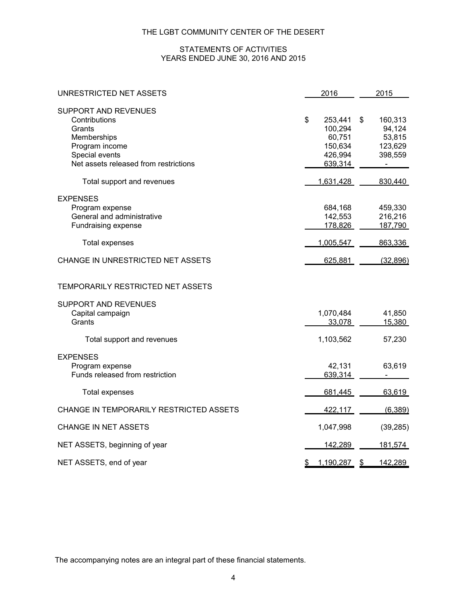#### STATEMENTS OF ACTIVITIES YEARS ENDED JUNE 30, 2016 AND 2015

| UNRESTRICTED NET ASSETS                                                                                                                            | 2016                                                                | 2015                                                                      |  |  |
|----------------------------------------------------------------------------------------------------------------------------------------------------|---------------------------------------------------------------------|---------------------------------------------------------------------------|--|--|
| <b>SUPPORT AND REVENUES</b><br>Contributions<br>Grants<br>Memberships<br>Program income<br>Special events<br>Net assets released from restrictions | \$<br>253,441<br>100,294<br>60,751<br>150,634<br>426,994<br>639,314 | \$<br>160,313<br>94,124<br>53,815<br>123,629<br>398,559<br>$\blacksquare$ |  |  |
| Total support and revenues                                                                                                                         | 1,631,428                                                           | 830,440                                                                   |  |  |
| <b>EXPENSES</b><br>Program expense<br>General and administrative<br>Fundraising expense                                                            | 684,168<br>142,553<br>178,826                                       | 459,330<br>216,216<br>187,790                                             |  |  |
| <b>Total expenses</b>                                                                                                                              | 1,005,547                                                           | 863,336                                                                   |  |  |
| CHANGE IN UNRESTRICTED NET ASSETS                                                                                                                  | 625,881                                                             | (32, 896)                                                                 |  |  |
| TEMPORARILY RESTRICTED NET ASSETS                                                                                                                  |                                                                     |                                                                           |  |  |
| <b>SUPPORT AND REVENUES</b><br>Capital campaign<br>Grants                                                                                          | 1,070,484<br>33,078                                                 | 41,850<br>15,380                                                          |  |  |
| Total support and revenues                                                                                                                         | 1,103,562                                                           | 57,230                                                                    |  |  |
| <b>EXPENSES</b><br>Program expense<br>Funds released from restriction                                                                              | 42,131<br>639,314                                                   | 63,619                                                                    |  |  |
| Total expenses                                                                                                                                     | 681,445                                                             | 63,619                                                                    |  |  |
| CHANGE IN TEMPORARILY RESTRICTED ASSETS                                                                                                            | 422,117                                                             | (6, 389)                                                                  |  |  |
| <b>CHANGE IN NET ASSETS</b>                                                                                                                        | 1,047,998                                                           | (39, 285)                                                                 |  |  |
| NET ASSETS, beginning of year                                                                                                                      | 142,289                                                             | 181,574                                                                   |  |  |
| NET ASSETS, end of year                                                                                                                            | 1,190,287<br>\$                                                     | 142,289<br>$\frac{3}{2}$                                                  |  |  |

The accompanying notes are an integral part of these financial statements.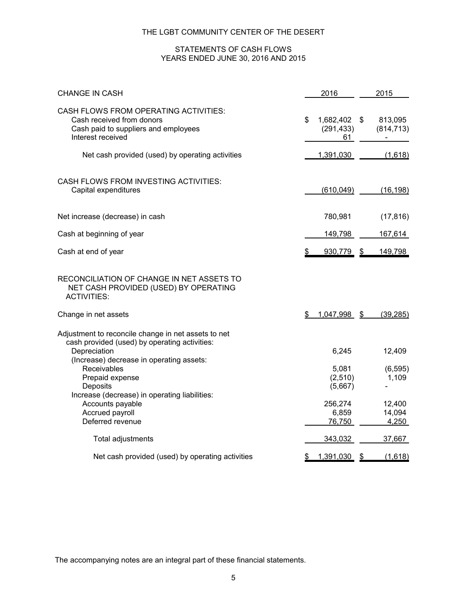#### STATEMENTS OF CASH FLOWS YEARS ENDED JUNE 30, 2016 AND 2015

| <b>CHANGE IN CASH</b>                                                                                                                                            | 2016                                   | 2015                      |
|------------------------------------------------------------------------------------------------------------------------------------------------------------------|----------------------------------------|---------------------------|
| CASH FLOWS FROM OPERATING ACTIVITIES:<br>Cash received from donors<br>Cash paid to suppliers and employees<br>Interest received                                  | 1,682,402 \$<br>\$<br>(291, 433)<br>61 | 813,095<br>(814, 713)     |
| Net cash provided (used) by operating activities                                                                                                                 | 1,391,030                              | (1,618)                   |
| CASH FLOWS FROM INVESTING ACTIVITIES:<br>Capital expenditures                                                                                                    | (610, 049)                             | (16, 198)                 |
| Net increase (decrease) in cash                                                                                                                                  | 780,981                                | (17, 816)                 |
| Cash at beginning of year                                                                                                                                        | 149,798                                | 167,614                   |
| Cash at end of year                                                                                                                                              | 930,779                                | 149,798<br>$\mathfrak{D}$ |
| RECONCILIATION OF CHANGE IN NET ASSETS TO<br>NET CASH PROVIDED (USED) BY OPERATING<br><b>ACTIVITIES:</b>                                                         |                                        |                           |
| Change in net assets                                                                                                                                             | 1,047,998 \$                           | (39, 285)                 |
| Adjustment to reconcile change in net assets to net<br>cash provided (used) by operating activities:<br>Depreciation<br>(Increase) decrease in operating assets: | 6,245                                  | 12,409                    |
| Receivables<br>Prepaid expense<br>Deposits                                                                                                                       | 5,081<br>(2,510)<br>(5,667)            | (6, 595)<br>1,109         |
| Increase (decrease) in operating liabilities:<br>Accounts payable<br>Accrued payroll<br>Deferred revenue                                                         | 256,274<br>6,859<br>76,750             | 12,400<br>14,094<br>4,250 |
| Total adjustments                                                                                                                                                | 343,032                                | 37,667                    |
| Net cash provided (used) by operating activities                                                                                                                 | 1,391,030<br>\$                        | (1,618)<br>\$             |

The accompanying notes are an integral part of these financial statements.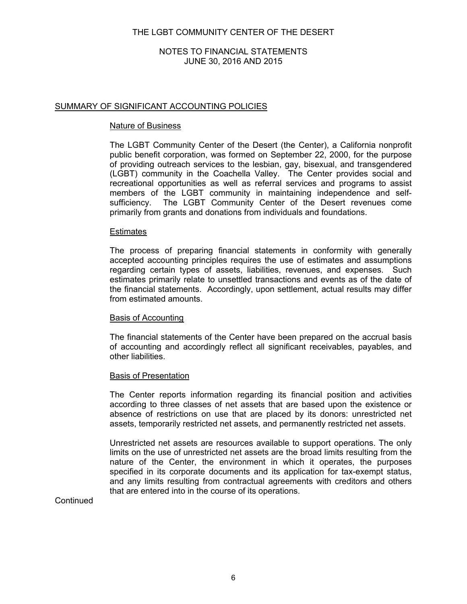## NOTES TO FINANCIAL STATEMENTS JUNE 30, 2016 AND 2015

## SUMMARY OF SIGNIFICANT ACCOUNTING POLICIES

#### Nature of Business

The LGBT Community Center of the Desert (the Center), a California nonprofit public benefit corporation, was formed on September 22, 2000, for the purpose of providing outreach services to the lesbian, gay, bisexual, and transgendered (LGBT) community in the Coachella Valley. The Center provides social and recreational opportunities as well as referral services and programs to assist members of the LGBT community in maintaining independence and selfsufficiency. The LGBT Community Center of the Desert revenues come primarily from grants and donations from individuals and foundations.

#### Estimates

The process of preparing financial statements in conformity with generally accepted accounting principles requires the use of estimates and assumptions regarding certain types of assets, liabilities, revenues, and expenses. Such estimates primarily relate to unsettled transactions and events as of the date of the financial statements. Accordingly, upon settlement, actual results may differ from estimated amounts.

#### Basis of Accounting

The financial statements of the Center have been prepared on the accrual basis of accounting and accordingly reflect all significant receivables, payables, and other liabilities.

#### Basis of Presentation

The Center reports information regarding its financial position and activities according to three classes of net assets that are based upon the existence or absence of restrictions on use that are placed by its donors: unrestricted net assets, temporarily restricted net assets, and permanently restricted net assets.

Unrestricted net assets are resources available to support operations. The only limits on the use of unrestricted net assets are the broad limits resulting from the nature of the Center, the environment in which it operates, the purposes specified in its corporate documents and its application for tax-exempt status, and any limits resulting from contractual agreements with creditors and others that are entered into in the course of its operations.

**Continued**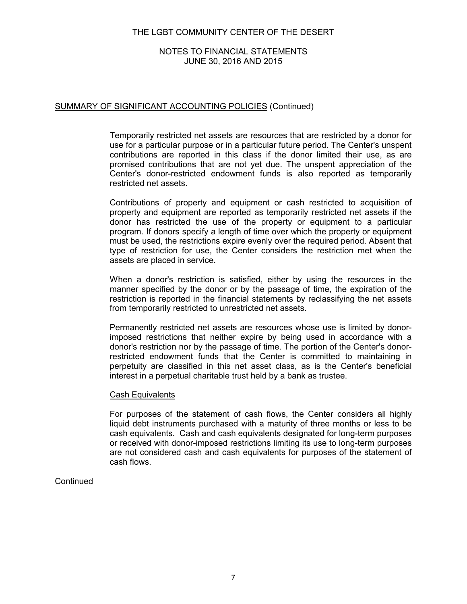## NOTES TO FINANCIAL STATEMENTS JUNE 30, 2016 AND 2015

## SUMMARY OF SIGNIFICANT ACCOUNTING POLICIES (Continued)

Temporarily restricted net assets are resources that are restricted by a donor for use for a particular purpose or in a particular future period. The Center's unspent contributions are reported in this class if the donor limited their use, as are promised contributions that are not yet due. The unspent appreciation of the Center's donor-restricted endowment funds is also reported as temporarily restricted net assets.

Contributions of property and equipment or cash restricted to acquisition of property and equipment are reported as temporarily restricted net assets if the donor has restricted the use of the property or equipment to a particular program. If donors specify a length of time over which the property or equipment must be used, the restrictions expire evenly over the required period. Absent that type of restriction for use, the Center considers the restriction met when the assets are placed in service.

When a donor's restriction is satisfied, either by using the resources in the manner specified by the donor or by the passage of time, the expiration of the restriction is reported in the financial statements by reclassifying the net assets from temporarily restricted to unrestricted net assets.

Permanently restricted net assets are resources whose use is limited by donorimposed restrictions that neither expire by being used in accordance with a donor's restriction nor by the passage of time. The portion of the Center's donorrestricted endowment funds that the Center is committed to maintaining in perpetuity are classified in this net asset class, as is the Center's beneficial interest in a perpetual charitable trust held by a bank as trustee.

#### Cash Equivalents

For purposes of the statement of cash flows, the Center considers all highly liquid debt instruments purchased with a maturity of three months or less to be cash equivalents. Cash and cash equivalents designated for long-term purposes or received with donor-imposed restrictions limiting its use to long-term purposes are not considered cash and cash equivalents for purposes of the statement of cash flows.

#### **Continued**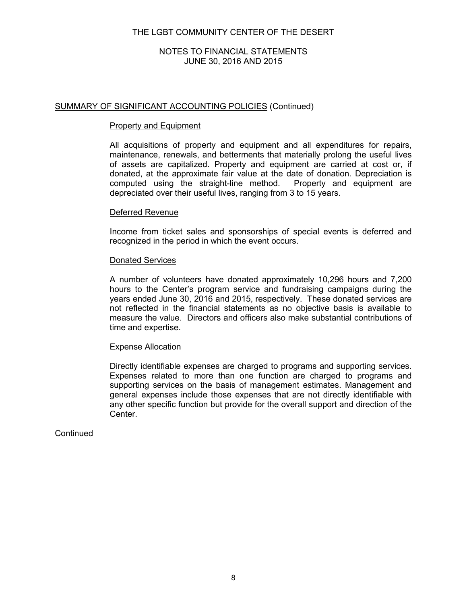## NOTES TO FINANCIAL STATEMENTS JUNE 30, 2016 AND 2015

## SUMMARY OF SIGNIFICANT ACCOUNTING POLICIES (Continued)

#### Property and Equipment

All acquisitions of property and equipment and all expenditures for repairs, maintenance, renewals, and betterments that materially prolong the useful lives of assets are capitalized. Property and equipment are carried at cost or, if donated, at the approximate fair value at the date of donation. Depreciation is computed using the straight-line method. Property and equipment are depreciated over their useful lives, ranging from 3 to 15 years.

#### Deferred Revenue

Income from ticket sales and sponsorships of special events is deferred and recognized in the period in which the event occurs.

#### Donated Services

A number of volunteers have donated approximately 10,296 hours and 7,200 hours to the Center's program service and fundraising campaigns during the years ended June 30, 2016 and 2015, respectively. These donated services are not reflected in the financial statements as no objective basis is available to measure the value. Directors and officers also make substantial contributions of time and expertise.

#### Expense Allocation

Directly identifiable expenses are charged to programs and supporting services. Expenses related to more than one function are charged to programs and supporting services on the basis of management estimates. Management and general expenses include those expenses that are not directly identifiable with any other specific function but provide for the overall support and direction of the Center.

**Continued**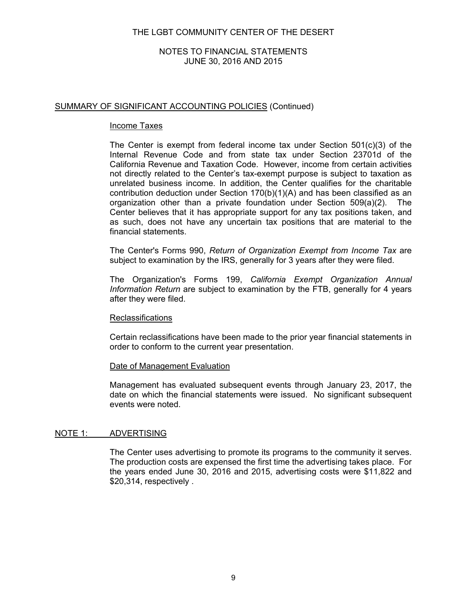## NOTES TO FINANCIAL STATEMENTS JUNE 30, 2016 AND 2015

## SUMMARY OF SIGNIFICANT ACCOUNTING POLICIES (Continued)

#### Income Taxes

The Center is exempt from federal income tax under Section 501(c)(3) of the Internal Revenue Code and from state tax under Section 23701d of the California Revenue and Taxation Code. However, income from certain activities not directly related to the Center's tax-exempt purpose is subject to taxation as unrelated business income. In addition, the Center qualifies for the charitable contribution deduction under Section 170(b)(1)(A) and has been classified as an organization other than a private foundation under Section 509(a)(2). The Center believes that it has appropriate support for any tax positions taken, and as such, does not have any uncertain tax positions that are material to the financial statements.

The Center's Forms 990, *Return of Organization Exempt from Income Tax* are subject to examination by the IRS, generally for 3 years after they were filed.

The Organization's Forms 199, *California Exempt Organization Annual Information Return* are subject to examination by the FTB, generally for 4 years after they were filed.

#### Reclassifications

Certain reclassifications have been made to the prior year financial statements in order to conform to the current year presentation.

#### Date of Management Evaluation

Management has evaluated subsequent events through January 23, 2017, the date on which the financial statements were issued. No significant subsequent events were noted.

#### NOTE 1: ADVERTISING

The Center uses advertising to promote its programs to the community it serves. The production costs are expensed the first time the advertising takes place. For the years ended June 30, 2016 and 2015, advertising costs were \$11,822 and \$20,314, respectively .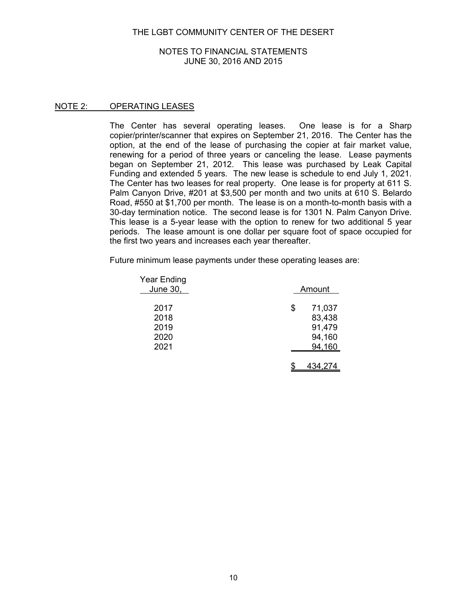#### NOTES TO FINANCIAL STATEMENTS JUNE 30, 2016 AND 2015

## NOTE 2: OPERATING LEASES

The Center has several operating leases. One lease is for a Sharp copier/printer/scanner that expires on September 21, 2016. The Center has the option, at the end of the lease of purchasing the copier at fair market value, renewing for a period of three years or canceling the lease. Lease payments began on September 21, 2012. This lease was purchased by Leak Capital Funding and extended 5 years. The new lease is schedule to end July 1, 2021. The Center has two leases for real property. One lease is for property at 611 S. Palm Canyon Drive, #201 at \$3,500 per month and two units at 610 S. Belardo Road, #550 at \$1,700 per month. The lease is on a month-to-month basis with a 30-day termination notice. The second lease is for 1301 N. Palm Canyon Drive. This lease is a 5-year lease with the option to renew for two additional 5 year periods. The lease amount is one dollar per square foot of space occupied for the first two years and increases each year thereafter.

Future minimum lease payments under these operating leases are:

| Year Ending<br>June 30, | Amount       |
|-------------------------|--------------|
| 2017                    | \$<br>71,037 |
| 2018                    | 83,438       |
| 2019                    | 91,479       |
| 2020                    | 94,160       |
| 2021                    | 94,160       |
|                         |              |
|                         | 434,274      |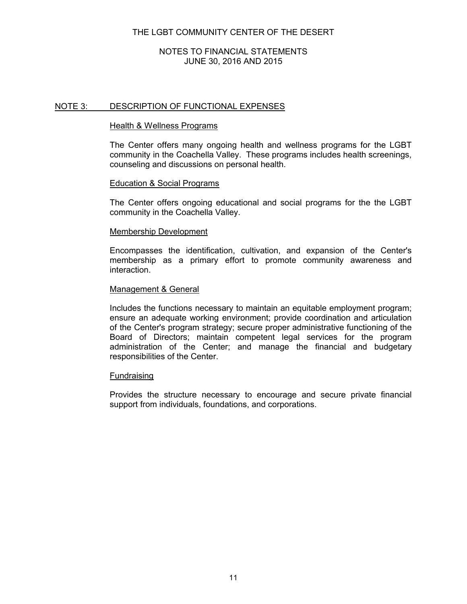## NOTES TO FINANCIAL STATEMENTS JUNE 30, 2016 AND 2015

## NOTE 3: DESCRIPTION OF FUNCTIONAL EXPENSES

#### Health & Wellness Programs

The Center offers many ongoing health and wellness programs for the LGBT community in the Coachella Valley. These programs includes health screenings, counseling and discussions on personal health.

#### Education & Social Programs

The Center offers ongoing educational and social programs for the the LGBT community in the Coachella Valley.

#### Membership Development

Encompasses the identification, cultivation, and expansion of the Center's membership as a primary effort to promote community awareness and interaction.

#### Management & General

Includes the functions necessary to maintain an equitable employment program; ensure an adequate working environment; provide coordination and articulation of the Center's program strategy; secure proper administrative functioning of the Board of Directors; maintain competent legal services for the program administration of the Center; and manage the financial and budgetary responsibilities of the Center.

#### Fundraising

Provides the structure necessary to encourage and secure private financial support from individuals, foundations, and corporations.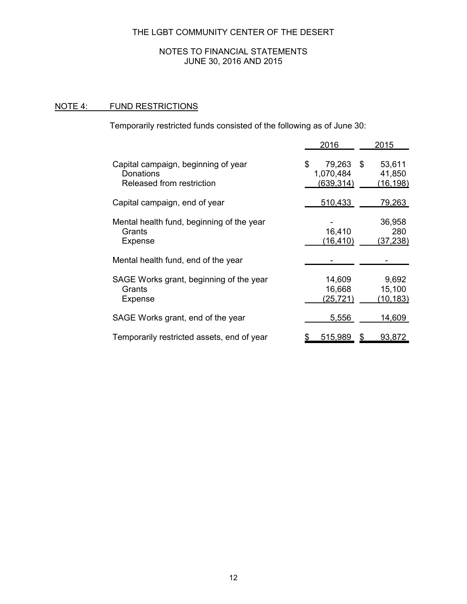## NOTES TO FINANCIAL STATEMENTS JUNE 30, 2016 AND 2015

# NOTE 4: FUND RESTRICTIONS

Temporarily restricted funds consisted of the following as of June 30:

|                                                                               | 2016                                       | 2015                               |
|-------------------------------------------------------------------------------|--------------------------------------------|------------------------------------|
| Capital campaign, beginning of year<br>Donations<br>Released from restriction | 79,263 \$<br>\$<br>1,070,484<br>(639, 314) | 53,611<br>41,850<br>(16, 198)      |
| Capital campaign, end of year                                                 | 510,433                                    | <u>79,263 </u>                     |
| Mental health fund, beginning of the year<br>Grants<br>Expense                | 16,410<br>(16, 410)                        | 36,958<br>280<br>(37, 238)         |
| Mental health fund, end of the year                                           |                                            |                                    |
| SAGE Works grant, beginning of the year<br>Grants<br>Expense                  | 14,609<br>16,668<br>(25, 721)              | 9,692<br>15,100<br><u>(10,183)</u> |
| SAGE Works grant, end of the year                                             | 5,556                                      | 14,609                             |
| Temporarily restricted assets, end of year                                    | 515,989                                    | 93,872<br>S                        |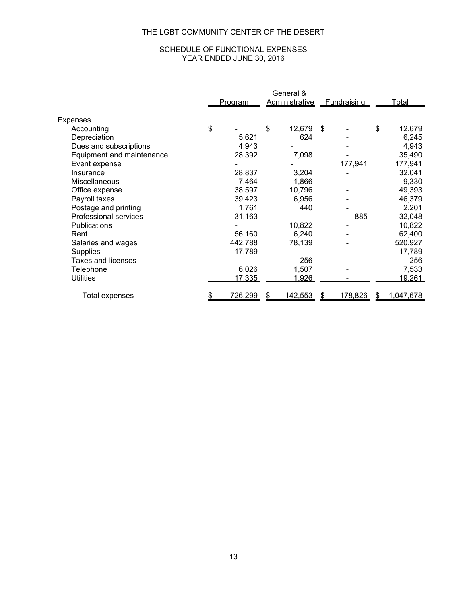# SCHEDULE OF FUNCTIONAL EXPENSES YEAR ENDED JUNE 30, 2016

|                           |                | General &             |    |                    |    |           |
|---------------------------|----------------|-----------------------|----|--------------------|----|-----------|
|                           | <u>Program</u> | <b>Administrative</b> |    | <b>Fundraising</b> |    | Total     |
|                           |                |                       |    |                    |    |           |
| Expenses                  |                |                       |    |                    |    |           |
| Accounting                | \$             | \$<br>12,679          | \$ |                    | \$ | 12,679    |
| Depreciation              | 5,621          | 624                   |    |                    |    | 6,245     |
| Dues and subscriptions    | 4,943          |                       |    |                    |    | 4,943     |
| Equipment and maintenance | 28,392         | 7,098                 |    |                    |    | 35,490    |
| Event expense             |                |                       |    | 177,941            |    | 177,941   |
| Insurance                 | 28,837         | 3,204                 |    |                    |    | 32,041    |
| Miscellaneous             | 7,464          | 1,866                 |    |                    |    | 9,330     |
| Office expense            | 38,597         | 10,796                |    |                    |    | 49,393    |
| Payroll taxes             | 39,423         | 6,956                 |    |                    |    | 46,379    |
| Postage and printing      | 1,761          | 440                   |    |                    |    | 2,201     |
| Professional services     | 31,163         |                       |    | 885                |    | 32,048    |
| Publications              |                | 10,822                |    |                    |    | 10,822    |
| Rent                      | 56,160         | 6,240                 |    |                    |    | 62,400    |
| Salaries and wages        | 442,788        | 78,139                |    |                    |    | 520,927   |
| <b>Supplies</b>           | 17,789         |                       |    |                    |    | 17,789    |
| Taxes and licenses        |                | 256                   |    |                    |    | 256       |
| Telephone                 | 6,026          | 1,507                 |    |                    |    | 7,533     |
| <b>Utilities</b>          | 17,335         | 1,926                 |    |                    |    | 19,261    |
|                           |                |                       |    |                    |    |           |
| Total expenses            | 726,299        | 142,553               | S  | 178,826            | S  | 1,047,678 |